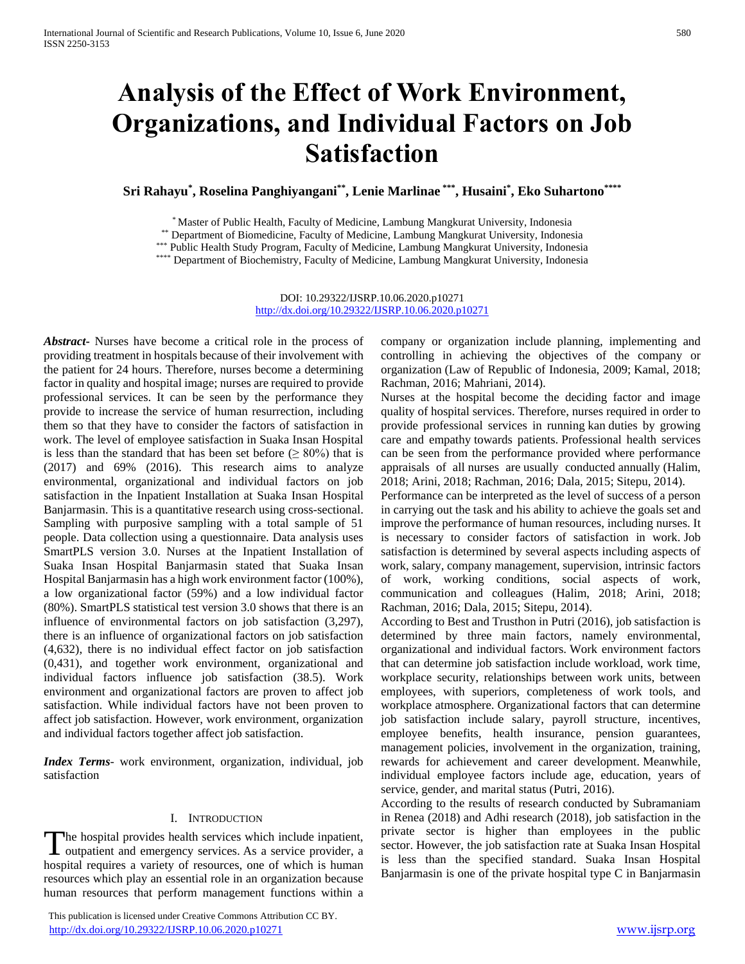# **Analysis of the Effect of Work Environment, Organizations, and Individual Factors on Job Satisfaction**

**Sri Rahayu\* , Roselina Panghiyangani\*\* , Lenie Marlinae \*\*\* , Husaini\* , Eko Suhartono\*\*\*\***

\* Master of Public Health, Faculty of Medicine, Lambung Mangkurat University, Indonesia

\*\* Department of Biomedicine, Faculty of Medicine, Lambung Mangkurat University, Indonesia

\*\*\* Public Health Study Program, Faculty of Medicine, Lambung Mangkurat University, Indonesia

\*\*\*\* Department of Biochemistry, Faculty of Medicine, Lambung Mangkurat University, Indonesia

DOI: 10.29322/IJSRP.10.06.2020.p10271 <http://dx.doi.org/10.29322/IJSRP.10.06.2020.p10271>

*Abstract***-** Nurses have become a critical role in the process of providing treatment in hospitals because of their involvement with the patient for 24 hours. Therefore, nurses become a determining factor in quality and hospital image; nurses are required to provide professional services. It can be seen by the performance they provide to increase the service of human resurrection, including them so that they have to consider the factors of satisfaction in work. The level of employee satisfaction in Suaka Insan Hospital is less than the standard that has been set before ( $\geq 80\%$ ) that is (2017) and 69% (2016). This research aims to analyze environmental, organizational and individual factors on job satisfaction in the Inpatient Installation at Suaka Insan Hospital Banjarmasin. This is a quantitative research using cross-sectional. Sampling with purposive sampling with a total sample of 51 people. Data collection using a questionnaire. Data analysis uses SmartPLS version 3.0. Nurses at the Inpatient Installation of Suaka Insan Hospital Banjarmasin stated that Suaka Insan Hospital Banjarmasin has a high work environment factor (100%), a low organizational factor (59%) and a low individual factor (80%). SmartPLS statistical test version 3.0 shows that there is an influence of environmental factors on job satisfaction (3,297), there is an influence of organizational factors on job satisfaction (4,632), there is no individual effect factor on job satisfaction (0,431), and together work environment, organizational and individual factors influence job satisfaction (38.5). Work environment and organizational factors are proven to affect job satisfaction. While individual factors have not been proven to affect job satisfaction. However, work environment, organization and individual factors together affect job satisfaction.

*Index Terms*- work environment, organization, individual, job satisfaction

#### I. INTRODUCTION

he hospital provides health services which include inpatient, The hospital provides health services which include inpatient, a outpatient and emergency services. As a service provider, a hospital requires a variety of resources, one of which is human resources which play an essential role in an organization because human resources that perform management functions within a

 This publication is licensed under Creative Commons Attribution CC BY. <http://dx.doi.org/10.29322/IJSRP.10.06.2020.p10271> [www.ijsrp.org](http://ijsrp.org/)

company or organization include planning, implementing and controlling in achieving the objectives of the company or organization (Law of Republic of Indonesia, 2009; Kamal, 2018; Rachman, 2016; Mahriani, 2014).

Nurses at the hospital become the deciding factor and image quality of hospital services. Therefore, nurses required in order to provide professional services in running kan duties by growing care and empathy towards patients. Professional health services can be seen from the performance provided where performance appraisals of all nurses are usually conducted annually (Halim, 2018; Arini, 2018; Rachman, 2016; Dala, 2015; Sitepu, 2014).

Performance can be interpreted as the level of success of a person in carrying out the task and his ability to achieve the goals set and improve the performance of human resources, including nurses. It is necessary to consider factors of satisfaction in work. Job satisfaction is determined by several aspects including aspects of work, salary, company management, supervision, intrinsic factors of work, working conditions, social aspects of work, communication and colleagues (Halim, 2018; Arini, 2018; Rachman, 2016; Dala, 2015; Sitepu, 2014).

According to Best and Trusthon in Putri (2016), job satisfaction is determined by three main factors, namely environmental, organizational and individual factors. Work environment factors that can determine job satisfaction include workload, work time, workplace security, relationships between work units, between employees, with superiors, completeness of work tools, and workplace atmosphere. Organizational factors that can determine job satisfaction include salary, payroll structure, incentives, employee benefits, health insurance, pension guarantees, management policies, involvement in the organization, training, rewards for achievement and career development. Meanwhile, individual employee factors include age, education, years of service, gender, and marital status (Putri, 2016).

According to the results of research conducted by Subramaniam in Renea (2018) and Adhi research (2018), job satisfaction in the private sector is higher than employees in the public sector. However, the job satisfaction rate at Suaka Insan Hospital is less than the specified standard. Suaka Insan Hospital Banjarmasin is one of the private hospital type C in Banjarmasin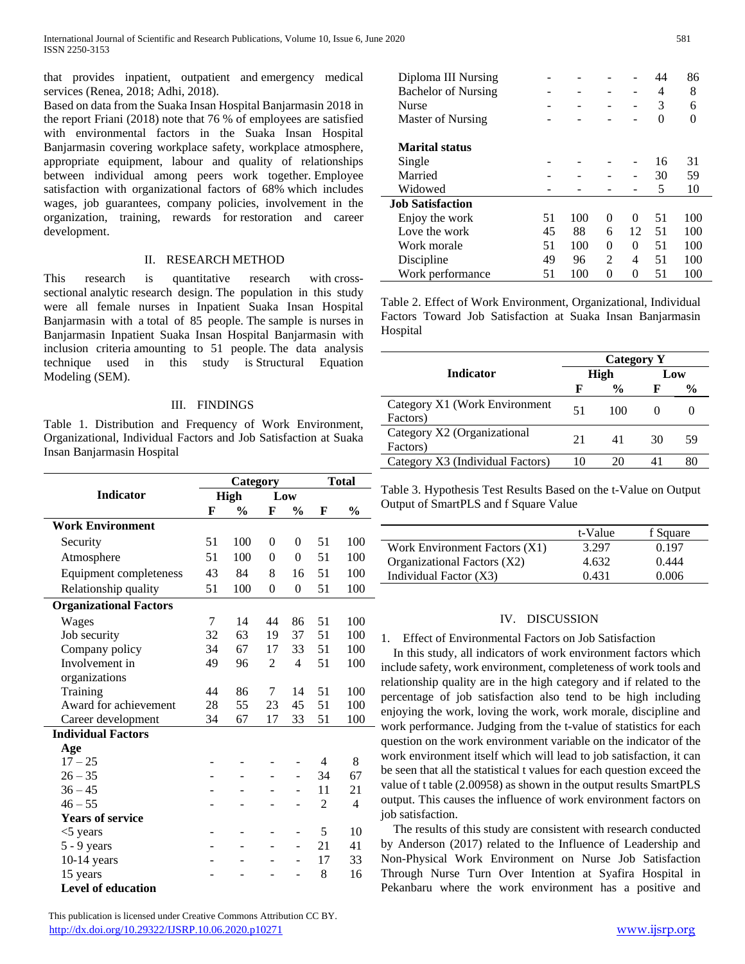that provides inpatient, outpatient and emergency medical services (Renea, 2018; Adhi, 2018).

Based on data from the Suaka Insan Hospital Banjarmasin 2018 in the report Friani (2018) note that 76 % of employees are satisfied with environmental factors in the Suaka Insan Hospital Banjarmasin covering workplace safety, workplace atmosphere, appropriate equipment, labour and quality of relationships between individual among peers work together. Employee satisfaction with organizational factors of 68% which includes wages, job guarantees, company policies, involvement in the organization, training, rewards for restoration and career development.

## II. RESEARCH METHOD

This research is quantitative research with crosssectional analytic research design. The population in this study were all female nurses in Inpatient Suaka Insan Hospital Banjarmasin with a total of 85 people. The sample is nurses in Banjarmasin Inpatient Suaka Insan Hospital Banjarmasin with inclusion criteria amounting to 51 people. The data analysis technique used in this study is Structural Equation Modeling (SEM).

# III. FINDINGS

Table 1. Distribution and Frequency of Work Environment, Organizational, Individual Factors and Job Satisfaction at Suaka Insan Banjarmasin Hospital

|                               | Category    |               |                |                | <b>Total</b> |               |
|-------------------------------|-------------|---------------|----------------|----------------|--------------|---------------|
| <b>Indicator</b>              | <b>High</b> |               | Low            |                |              |               |
|                               | F           | $\frac{0}{0}$ | F              | $\frac{0}{0}$  | F            | $\frac{6}{9}$ |
| <b>Work Environment</b>       |             |               |                |                |              |               |
| Security                      | 51          | 100           | $\overline{0}$ | $\overline{0}$ | 51           | 100           |
| Atmosphere                    | 51          | 100           | $\Omega$       | $\theta$       | 51           | 100           |
| Equipment completeness        | 43          | 84            | 8              | 16             | 51           | 100           |
| Relationship quality          | 51          | 100           | $\overline{0}$ | $\overline{0}$ | 51           | 100           |
| <b>Organizational Factors</b> |             |               |                |                |              |               |
| Wages                         | 7           | 14            | 44             | 86             | 51           | 100           |
| Job security                  | 32          | 63            | 19             | 37             | 51           | 100           |
| Company policy                | 34          | 67            | 17             | 33             | 51           | 100           |
| Involvement in                | 49          | 96            | $\overline{c}$ | $\overline{4}$ | 51           | 100           |
| organizations                 |             |               |                |                |              |               |
| Training                      | 44          | 86            | 7              | 14             | 51           | 100           |
| Award for achievement         | 28          | 55            | 23             | 45             | 51           | 100           |
| Career development            | 34          | 67            | 17             | 33             | 51           | 100           |
| <b>Individual Factors</b>     |             |               |                |                |              |               |
| Age                           |             |               |                |                |              |               |
| $17 - 25$                     |             |               |                |                | 4            | 8             |
| $26 - 35$                     |             |               |                |                | 34           | 67            |
| $36 - 45$                     |             |               |                |                | 11           | 21            |
| $46 - 55$                     |             |               |                |                | 2            | 4             |
| <b>Years of service</b>       |             |               |                |                |              |               |
| $<$ 5 years                   |             |               |                |                | 5            | 10            |
| $5 - 9$ years                 |             |               |                | -              | 21           | 41            |
| $10-14$ years                 |             |               |                |                | 17           | 33            |
| 15 years                      |             |               |                |                | 8            | 16            |
| <b>Level of education</b>     |             |               |                |                |              |               |

| Diploma III Nursing        |    |     |   |    | 44 | 86  |
|----------------------------|----|-----|---|----|----|-----|
| <b>Bachelor of Nursing</b> |    |     |   |    | 4  | 8   |
| <b>Nurse</b>               |    |     |   |    | 3  | 6   |
| <b>Master of Nursing</b>   |    |     |   |    | 0  |     |
| <b>Marital status</b>      |    |     |   |    |    |     |
| Single                     |    |     |   |    | 16 | 31  |
| Married                    |    |     |   |    | 30 | 59  |
| Widowed                    |    |     |   |    | 5  | 10  |
| <b>Job Satisfaction</b>    |    |     |   |    |    |     |
| Enjoy the work             | 51 | 100 | 0 | 0  | 51 | 100 |
| Love the work              | 45 | 88  | 6 | 12 | 51 | 100 |
| Work morale                | 51 | 100 | 0 | 0  | 51 | 100 |
| Discipline                 | 49 | 96  | 2 | 4  | 51 | 100 |
| Work performance           | 51 | 100 | 0 | 0  | 51 | 100 |

Table 2. Effect of Work Environment, Organizational, Individual Factors Toward Job Satisfaction at Suaka Insan Banjarmasin Hospital

| <b>Category Y</b> |               |     |               |  |
|-------------------|---------------|-----|---------------|--|
| High              |               | Low |               |  |
| Е                 | $\frac{6}{9}$ | F   | $\frac{0}{0}$ |  |
| 51                | 100           |     |               |  |
|                   |               |     |               |  |
| 21                | 41            | 30  | 59            |  |
| 10                | 20            | 41  |               |  |
|                   |               |     |               |  |

Table 3. Hypothesis Test Results Based on the t-Value on Output Output of SmartPLS and f Square Value

|                               | t-Value | f Square |
|-------------------------------|---------|----------|
| Work Environment Factors (X1) | 3.297   | 0.197    |
| Organizational Factors (X2)   | 4.632   | 0.444    |
| Individual Factor (X3)        | 0.431   | 0.006    |

### IV. DISCUSSION

1. Effect of Environmental Factors on Job Satisfaction

In this study, all indicators of work environment factors which include safety, work environment, completeness of work tools and relationship quality are in the high category and if related to the percentage of job satisfaction also tend to be high including enjoying the work, loving the work, work morale, discipline and work performance. Judging from the t-value of statistics for each question on the work environment variable on the indicator of the work environment itself which will lead to job satisfaction, it can be seen that all the statistical t values for each question exceed the value of t table (2.00958) as shown in the output results SmartPLS output. This causes the influence of work environment factors on job satisfaction.

The results of this study are consistent with research conducted by Anderson (2017) related to the Influence of Leadership and Non-Physical Work Environment on Nurse Job Satisfaction Through Nurse Turn Over Intention at Syafira Hospital in Pekanbaru where the work environment has a positive and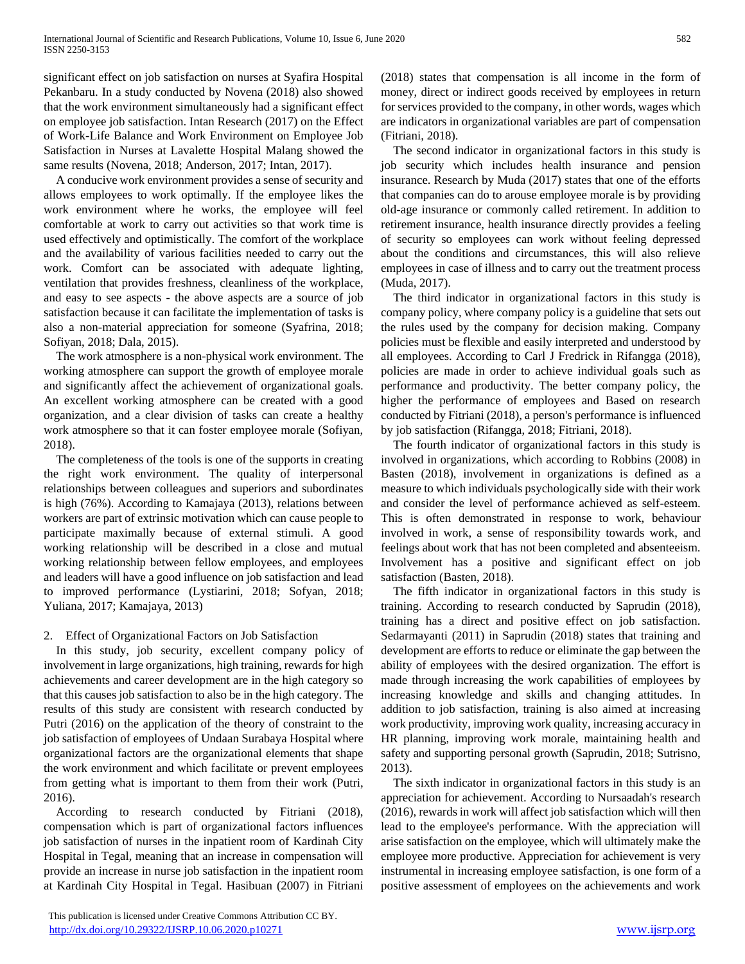significant effect on job satisfaction on nurses at Syafira Hospital Pekanbaru. In a study conducted by Novena (2018) also showed that the work environment simultaneously had a significant effect on employee job satisfaction. Intan Research (2017) on the Effect of Work-Life Balance and Work Environment on Employee Job Satisfaction in Nurses at Lavalette Hospital Malang showed the same results (Novena, 2018; Anderson, 2017; Intan, 2017).

A conducive work environment provides a sense of security and allows employees to work optimally. If the employee likes the work environment where he works, the employee will feel comfortable at work to carry out activities so that work time is used effectively and optimistically. The comfort of the workplace and the availability of various facilities needed to carry out the work. Comfort can be associated with adequate lighting, ventilation that provides freshness, cleanliness of the workplace, and easy to see aspects - the above aspects are a source of job satisfaction because it can facilitate the implementation of tasks is also a non-material appreciation for someone (Syafrina, 2018; Sofiyan, 2018; Dala, 2015).

The work atmosphere is a non-physical work environment. The working atmosphere can support the growth of employee morale and significantly affect the achievement of organizational goals. An excellent working atmosphere can be created with a good organization, and a clear division of tasks can create a healthy work atmosphere so that it can foster employee morale (Sofiyan, 2018).

The completeness of the tools is one of the supports in creating the right work environment. The quality of interpersonal relationships between colleagues and superiors and subordinates is high (76%). According to Kamajaya (2013), relations between workers are part of extrinsic motivation which can cause people to participate maximally because of external stimuli. A good working relationship will be described in a close and mutual working relationship between fellow employees, and employees and leaders will have a good influence on job satisfaction and lead to improved performance (Lystiarini, 2018; Sofyan, 2018; Yuliana, 2017; Kamajaya, 2013)

# 2. Effect of Organizational Factors on Job Satisfaction

In this study, job security, excellent company policy of involvement in large organizations, high training, rewards for high achievements and career development are in the high category so that this causes job satisfaction to also be in the high category. The results of this study are consistent with research conducted by Putri (2016) on the application of the theory of constraint to the job satisfaction of employees of Undaan Surabaya Hospital where organizational factors are the organizational elements that shape the work environment and which facilitate or prevent employees from getting what is important to them from their work (Putri, 2016).

According to research conducted by Fitriani (2018), compensation which is part of organizational factors influences job satisfaction of nurses in the inpatient room of Kardinah City Hospital in Tegal, meaning that an increase in compensation will provide an increase in nurse job satisfaction in the inpatient room at Kardinah City Hospital in Tegal. Hasibuan (2007) in Fitriani

 This publication is licensed under Creative Commons Attribution CC BY. <http://dx.doi.org/10.29322/IJSRP.10.06.2020.p10271> [www.ijsrp.org](http://ijsrp.org/)

(2018) states that compensation is all income in the form of money, direct or indirect goods received by employees in return for services provided to the company, in other words, wages which are indicators in organizational variables are part of compensation (Fitriani, 2018).

The second indicator in organizational factors in this study is job security which includes health insurance and pension insurance. Research by Muda (2017) states that one of the efforts that companies can do to arouse employee morale is by providing old-age insurance or commonly called retirement. In addition to retirement insurance, health insurance directly provides a feeling of security so employees can work without feeling depressed about the conditions and circumstances, this will also relieve employees in case of illness and to carry out the treatment process (Muda, 2017).

The third indicator in organizational factors in this study is company policy, where company policy is a guideline that sets out the rules used by the company for decision making. Company policies must be flexible and easily interpreted and understood by all employees. According to Carl J Fredrick in Rifangga (2018), policies are made in order to achieve individual goals such as performance and productivity. The better company policy, the higher the performance of employees and Based on research conducted by Fitriani (2018), a person's performance is influenced by job satisfaction (Rifangga, 2018; Fitriani, 2018).

The fourth indicator of organizational factors in this study is involved in organizations, which according to Robbins (2008) in Basten (2018), involvement in organizations is defined as a measure to which individuals psychologically side with their work and consider the level of performance achieved as self-esteem. This is often demonstrated in response to work, behaviour involved in work, a sense of responsibility towards work, and feelings about work that has not been completed and absenteeism. Involvement has a positive and significant effect on job satisfaction (Basten, 2018).

The fifth indicator in organizational factors in this study is training. According to research conducted by Saprudin (2018), training has a direct and positive effect on job satisfaction. Sedarmayanti (2011) in Saprudin (2018) states that training and development are efforts to reduce or eliminate the gap between the ability of employees with the desired organization. The effort is made through increasing the work capabilities of employees by increasing knowledge and skills and changing attitudes. In addition to job satisfaction, training is also aimed at increasing work productivity, improving work quality, increasing accuracy in HR planning, improving work morale, maintaining health and safety and supporting personal growth (Saprudin, 2018; Sutrisno, 2013).

The sixth indicator in organizational factors in this study is an appreciation for achievement. According to Nursaadah's research (2016), rewards in work will affect job satisfaction which will then lead to the employee's performance. With the appreciation will arise satisfaction on the employee, which will ultimately make the employee more productive. Appreciation for achievement is very instrumental in increasing employee satisfaction, is one form of a positive assessment of employees on the achievements and work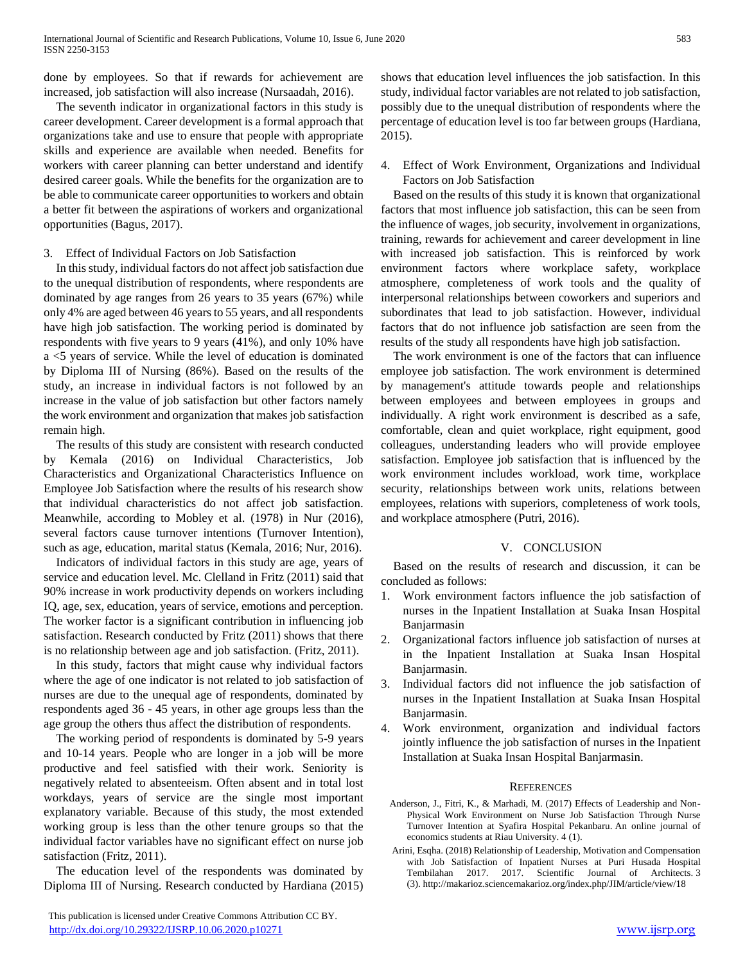done by employees. So that if rewards for achievement are increased, job satisfaction will also increase (Nursaadah, 2016).

The seventh indicator in organizational factors in this study is career development. Career development is a formal approach that organizations take and use to ensure that people with appropriate skills and experience are available when needed. Benefits for workers with career planning can better understand and identify desired career goals. While the benefits for the organization are to be able to communicate career opportunities to workers and obtain a better fit between the aspirations of workers and organizational opportunities (Bagus, 2017).

## 3. Effect of Individual Factors on Job Satisfaction

In this study, individual factors do not affect job satisfaction due to the unequal distribution of respondents, where respondents are dominated by age ranges from 26 years to 35 years (67%) while only 4% are aged between 46 years to 55 years, and all respondents have high job satisfaction. The working period is dominated by respondents with five years to 9 years (41%), and only 10% have a <5 years of service. While the level of education is dominated by Diploma III of Nursing (86%). Based on the results of the study, an increase in individual factors is not followed by an increase in the value of job satisfaction but other factors namely the work environment and organization that makes job satisfaction remain high.

The results of this study are consistent with research conducted by Kemala (2016) on Individual Characteristics, Job Characteristics and Organizational Characteristics Influence on Employee Job Satisfaction where the results of his research show that individual characteristics do not affect job satisfaction. Meanwhile, according to Mobley et al. (1978) in Nur (2016), several factors cause turnover intentions (Turnover Intention), such as age, education, marital status (Kemala, 2016; Nur, 2016).

Indicators of individual factors in this study are age, years of service and education level. Mc. Clelland in Fritz (2011) said that 90% increase in work productivity depends on workers including IQ, age, sex, education, years of service, emotions and perception. The worker factor is a significant contribution in influencing job satisfaction. Research conducted by Fritz (2011) shows that there is no relationship between age and job satisfaction. (Fritz, 2011).

In this study, factors that might cause why individual factors where the age of one indicator is not related to job satisfaction of nurses are due to the unequal age of respondents, dominated by respondents aged 36 - 45 years, in other age groups less than the age group the others thus affect the distribution of respondents.

The working period of respondents is dominated by 5-9 years and 10-14 years. People who are longer in a job will be more productive and feel satisfied with their work. Seniority is negatively related to absenteeism. Often absent and in total lost workdays, years of service are the single most important explanatory variable. Because of this study, the most extended working group is less than the other tenure groups so that the individual factor variables have no significant effect on nurse job satisfaction (Fritz, 2011).

The education level of the respondents was dominated by Diploma III of Nursing. Research conducted by Hardiana (2015) shows that education level influences the job satisfaction. In this study, individual factor variables are not related to job satisfaction, possibly due to the unequal distribution of respondents where the percentage of education level is too far between groups (Hardiana, 2015).

4. Effect of Work Environment, Organizations and Individual Factors on Job Satisfaction

Based on the results of this study it is known that organizational factors that most influence job satisfaction, this can be seen from the influence of wages, job security, involvement in organizations, training, rewards for achievement and career development in line with increased job satisfaction. This is reinforced by work environment factors where workplace safety, workplace atmosphere, completeness of work tools and the quality of interpersonal relationships between coworkers and superiors and subordinates that lead to job satisfaction. However, individual factors that do not influence job satisfaction are seen from the results of the study all respondents have high job satisfaction.

The work environment is one of the factors that can influence employee job satisfaction. The work environment is determined by management's attitude towards people and relationships between employees and between employees in groups and individually. A right work environment is described as a safe, comfortable, clean and quiet workplace, right equipment, good colleagues, understanding leaders who will provide employee satisfaction. Employee job satisfaction that is influenced by the work environment includes workload, work time, workplace security, relationships between work units, relations between employees, relations with superiors, completeness of work tools, and workplace atmosphere (Putri, 2016).

### V. CONCLUSION

Based on the results of research and discussion, it can be concluded as follows:

- 1. Work environment factors influence the job satisfaction of nurses in the Inpatient Installation at Suaka Insan Hospital Banjarmasin
- 2. Organizational factors influence job satisfaction of nurses at in the Inpatient Installation at Suaka Insan Hospital Banjarmasin.
- 3. Individual factors did not influence the job satisfaction of nurses in the Inpatient Installation at Suaka Insan Hospital Banjarmasin.
- 4. Work environment, organization and individual factors jointly influence the job satisfaction of nurses in the Inpatient Installation at Suaka Insan Hospital Banjarmasin.

### **REFERENCES**

- Anderson, J., Fitri, K., & Marhadi, M. (2017) Effects of Leadership and Non-Physical Work Environment on Nurse Job Satisfaction Through Nurse Turnover Intention at Syafira Hospital Pekanbaru. An online journal of economics students at Riau University. 4 (1).
- Arini, Esqha. (2018) Relationship of Leadership, Motivation and Compensation with Job Satisfaction of Inpatient Nurses at Puri Husada Hospital Tembilahan 2017. 2017. Scientific Journal of Architects. 3 (3). http://makarioz.sciencemakarioz.org/index.php/JIM/article/view/18